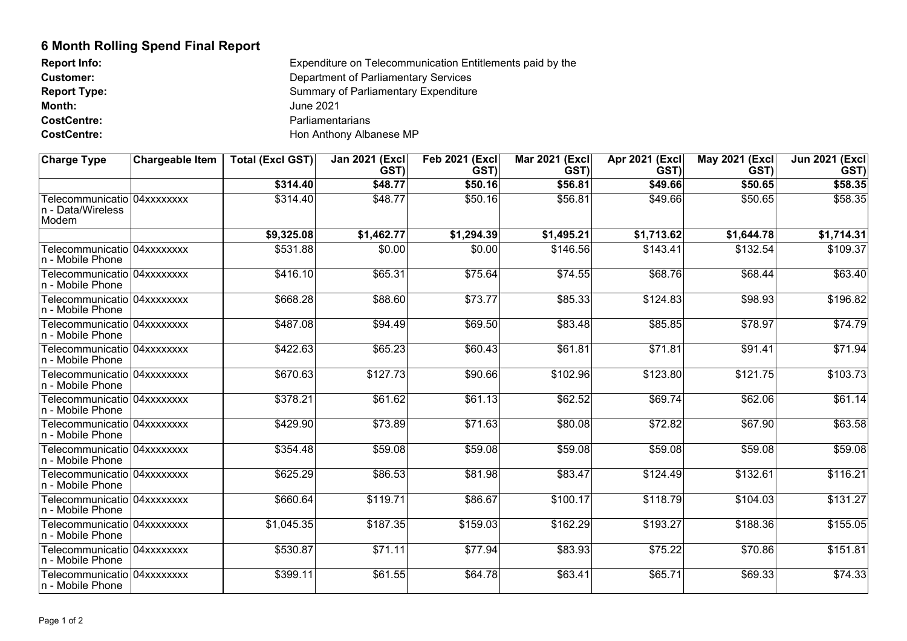## **6 Month Rolling Spend Final Report**

| <b>Report Info:</b> | Expenditure on Telecommunication Entitlements paid by the |
|---------------------|-----------------------------------------------------------|
| <b>Customer:</b>    | Department of Parliamentary Services                      |
| <b>Report Type:</b> | <b>Summary of Parliamentary Expenditure</b>               |
| Month:              | June 2021                                                 |
| <b>CostCentre:</b>  | Parliamentarians                                          |
| <b>CostCentre:</b>  | Hon Anthony Albanese MP                                   |

| <b>Charge Type</b>                                        | <b>Chargeable Item</b> | <b>Total (Excl GST)</b> | <b>Jan 2021 (Excl</b><br>GST) | <b>Feb 2021 (Excl)</b><br>GST) | Mar 2021 (Excl)<br>GST) | Apr 2021 (Excl<br>GST) | May 2021 (Excl)<br>GST) | Jun 2021 (Excl)<br>GST) |
|-----------------------------------------------------------|------------------------|-------------------------|-------------------------------|--------------------------------|-------------------------|------------------------|-------------------------|-------------------------|
|                                                           |                        | \$314.40                | \$48.77                       | \$50.16                        | \$56.81                 | \$49.66                | \$50.65                 | \$58.35                 |
| Telecommunicatio 04xxxxxxxx<br>n - Data/Wireless<br>Modem |                        | \$314.40                | \$48.77                       | \$50.16                        | \$56.81                 | \$49.66                | \$50.65                 | \$58.35                 |
|                                                           |                        | \$9,325.08              | \$1,462.77                    | \$1,294.39                     | \$1,495.21              | \$1,713.62             | \$1,644.78              | \$1,714.31              |
| Telecommunicatio   04xxxxxxxx<br>n - Mobile Phone         |                        | \$531.88                | \$0.00                        | \$0.00                         | \$146.56                | \$143.41               | \$132.54                | \$109.37                |
| Telecommunicatio  04xxxxxxxx<br>n - Mobile Phone          |                        | \$416.10                | \$65.31                       | \$75.64                        | \$74.55                 | \$68.76                | \$68.44                 | \$63.40                 |
| Telecommunicatio  04xxxxxxxx<br>n - Mobile Phone          |                        | \$668.28                | \$88.60                       | \$73.77                        | \$85.33                 | \$124.83               | \$98.93                 | \$196.82                |
| Telecommunicatio 04xxxxxxxx<br>n - Mobile Phone           |                        | \$487.08                | \$94.49                       | \$69.50                        | \$83.48                 | \$85.85                | \$78.97                 | \$74.79                 |
| Telecommunicatio 04xxxxxxxx<br>n - Mobile Phone           |                        | \$422.63                | \$65.23                       | \$60.43                        | \$61.81                 | \$71.81                | \$91.41                 | \$71.94                 |
| Telecommunicatio  04xxxxxxxx<br>n - Mobile Phone          |                        | \$670.63                | \$127.73                      | $\overline{$}90.66$            | \$102.96                | \$123.80               | \$121.75                | \$103.73                |
| Telecommunicatio 04xxxxxxxx<br>n - Mobile Phone           |                        | \$378.21                | \$61.62                       | \$61.13                        | \$62.52                 | \$69.74                | \$62.06                 | \$61.14                 |
| Telecommunicatio 04xxxxxxxx<br>n - Mobile Phone           |                        | \$429.90                | \$73.89                       | \$71.63                        | \$80.08                 | \$72.82                | \$67.90                 | \$63.58                 |
| Telecommunicatio 04xxxxxxxx<br>n - Mobile Phone           |                        | \$354.48                | \$59.08                       | \$59.08                        | \$59.08                 | \$59.08                | \$59.08                 | \$59.08                 |
| Telecommunicatio 04xxxxxxxx<br>n - Mobile Phone           |                        | \$625.29                | \$86.53                       | \$81.98                        | \$83.47                 | \$124.49               | \$132.61                | \$116.21                |
| Telecommunicatio 04xxxxxxxx<br>n - Mobile Phone           |                        | \$660.64                | \$119.71                      | \$86.67                        | \$100.17                | \$118.79               | \$104.03                | \$131.27                |
| Telecommunicatio 04xxxxxxxx<br>n - Mobile Phone           |                        | \$1,045.35              | \$187.35                      | \$159.03                       | \$162.29                | \$193.27               | \$188.36                | \$155.05                |
| Telecommunicatio 04xxxxxxxx<br>n - Mobile Phone           |                        | \$530.87                | \$71.11                       | \$77.94                        | \$83.93                 | \$75.22                | \$70.86                 | \$151.81                |
| Telecommunicatio  04xxxxxxxx<br>n - Mobile Phone          |                        | \$399.11                | \$61.55                       | \$64.78                        | \$63.41                 | \$65.71                | \$69.33                 | \$74.33                 |